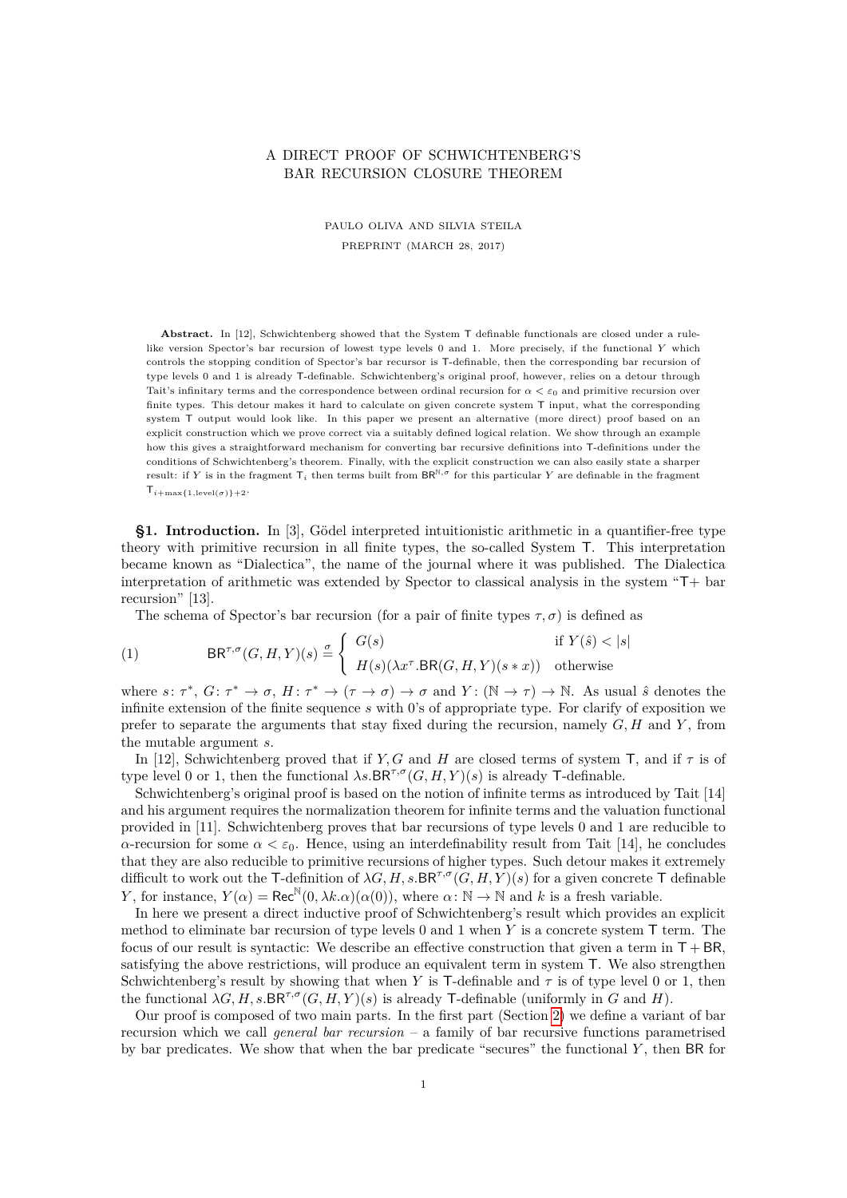## A DIRECT PROOF OF SCHWICHTENBERG'S BAR RECURSION CLOSURE THEOREM

PAULO OLIVA AND SILVIA STEILA PREPRINT (MARCH 28, 2017)

Abstract. In [12], Schwichtenberg showed that the System T definable functionals are closed under a rulelike version Spector's bar recursion of lowest type levels 0 and 1. More precisely, if the functional *Y* which controls the stopping condition of Spector's bar recursor is T-definable, then the corresponding bar recursion of type levels 0 and 1 is already T-definable. Schwichtenberg's original proof, however, relies on a detour through Tait's infinitary terms and the correspondence between ordinal recursion for  $\alpha < \varepsilon_0$  and primitive recursion over finite types. This detour makes it hard to calculate on given concrete system T input, what the corresponding system T output would look like. In this paper we present an alternative (more direct) proof based on an explicit construction which we prove correct via a suitably defined logical relation. We show through an example how this gives a straightforward mechanism for converting bar recursive definitions into T-definitions under the conditions of Schwichtenberg's theorem. Finally, with the explicit construction we can also easily state a sharper result: if *Y* is in the fragment  $T_i$  then terms built from  $BR^{N,\sigma}$  for this particular *Y* are definable in the fragment  $\mathsf{T}_{i+\max\{1,\text{level}(\sigma)\}+2}.$ 

**§1. Introduction.** In [3], Gödel interpreted intuitionistic arithmetic in a quantifier-free type theory with primitive recursion in all finite types, the so-called System T. This interpretation became known as "Dialectica", the name of the journal where it was published. The Dialectica interpretation of arithmetic was extended by Spector to classical analysis in the system "T+ bar recursion" [13].

The schema of Spector's bar recursion (for a pair of finite types  $\tau$ ,  $\sigma$ ) is defined as

(1) 
$$
BR^{\tau,\sigma}(G,H,Y)(s) \stackrel{\sigma}{=} \begin{cases} G(s) & \text{if } Y(\hat{s}) < |s| \\ H(s)(\lambda x^{\tau}.BR(G,H,Y)(s*x)) & \text{otherwise} \end{cases}
$$

where  $s: \tau^*, G: \tau^* \to \sigma, H: \tau^* \to (\tau \to \sigma) \to \sigma$  and  $Y: (\mathbb{N} \to \tau) \to \mathbb{N}$ . As usual  $\hat{s}$  denotes the infinite extension of the finite sequence *s* with 0's of appropriate type. For clarify of exposition we prefer to separate the arguments that stay fixed during the recursion, namely *G, H* and *Y* , from the mutable argument *s*.

In [12], Schwichtenberg proved that if *Y, G* and *H* are closed terms of system T, and if  $\tau$  is of type level 0 or 1, then the functional  $\lambda s. \text{BR}^{\tau,\sigma}(G, H, Y)(s)$  is already T-definable.

Schwichtenberg's original proof is based on the notion of infinite terms as introduced by Tait [14] and his argument requires the normalization theorem for infinite terms and the valuation functional provided in [11]. Schwichtenberg proves that bar recursions of type levels 0 and 1 are reducible to *α*-recursion for some  $\alpha < \varepsilon_0$ . Hence, using an interdefinability result from Tait [14], he concludes that they are also reducible to primitive recursions of higher types. Such detour makes it extremely difficult to work out the T-definition of  $\lambda G, H, s$ .BR<sup> $\tau, \sigma$ </sup> $(G, H, Y)(s)$  for a given concrete T definable *Y*, for instance,  $Y(\alpha) = \text{Rec}^{\mathbb{N}}(0, \lambda k.\alpha)(\alpha(0))$ , where  $\alpha: \mathbb{N} \to \mathbb{N}$  and *k* is a fresh variable.

In here we present a direct inductive proof of Schwichtenberg's result which provides an explicit method to eliminate bar recursion of type levels 0 and 1 when *Y* is a concrete system T term. The focus of our result is syntactic: We describe an effective construction that given a term in  $T + BR$ , satisfying the above restrictions, will produce an equivalent term in system T. We also strengthen Schwichtenberg's result by showing that when *Y* is T-definable and  $\tau$  is of type level 0 or 1, then the functional  $\lambda G, H, s.BR^{\tau, \sigma}(G, H, Y)(s)$  is already T-definable (uniformly in *G* and *H*).

Our proof is composed of two main parts. In the first part (Section [2\)](#page-2-0) we define a variant of bar recursion which we call *general bar recursion* – a family of bar recursive functions parametrised by bar predicates. We show that when the bar predicate "secures" the functional *Y* , then BR for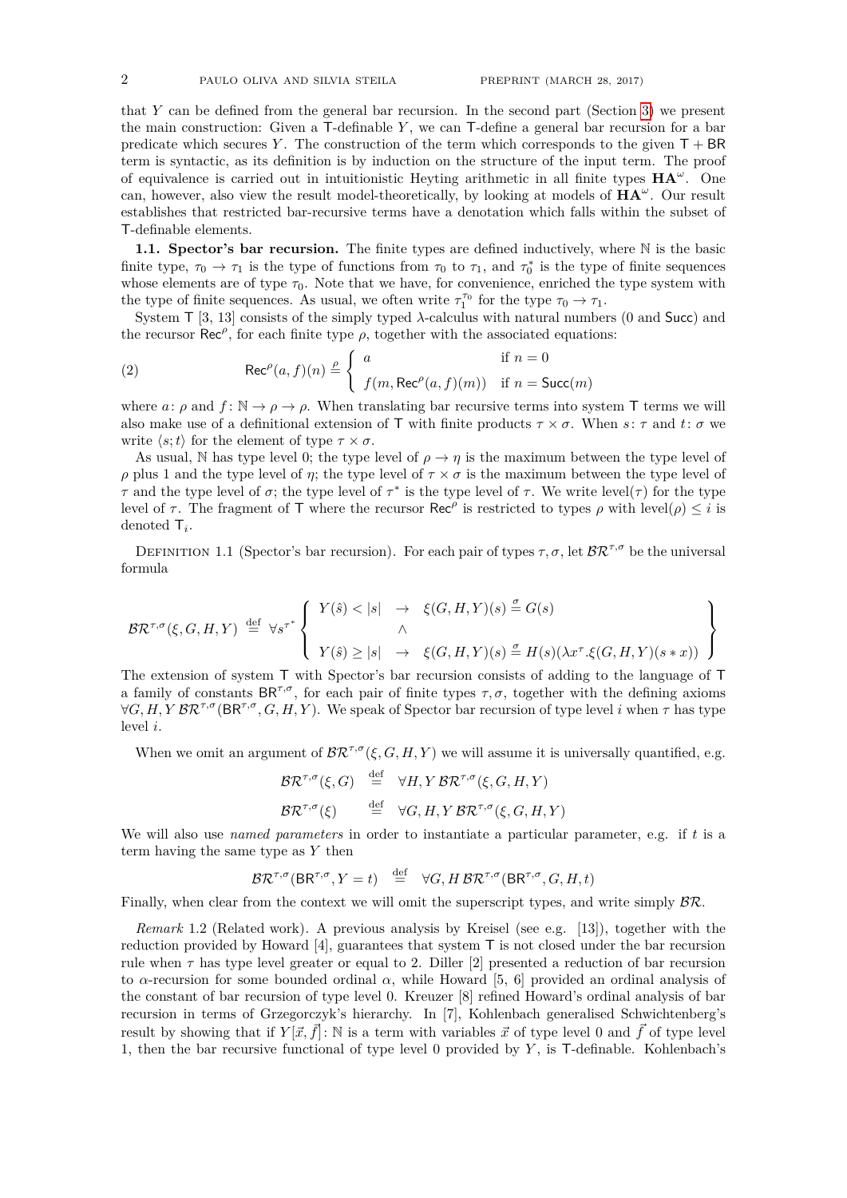that *Y* can be defined from the general bar recursion. In the second part (Section [3\)](#page-4-0) we present the main construction: Given a T-definable *Y* , we can T-define a general bar recursion for a bar predicate which secures *Y*. The construction of the term which corresponds to the given  $T + BR$ term is syntactic, as its definition is by induction on the structure of the input term. The proof of equivalence is carried out in intuitionistic Heyting arithmetic in all finite types **HA***<sup>ω</sup>* . One can, however, also view the result model-theoretically, by looking at models of **HA***<sup>ω</sup>* . Our result establishes that restricted bar-recursive terms have a denotation which falls within the subset of T-definable elements.

1.1. Spector's bar recursion. The finite types are defined inductively, where  $\mathbb N$  is the basic finite type,  $\tau_0 \to \tau_1$  is the type of functions from  $\tau_0$  to  $\tau_1$ , and  $\tau_0^*$  is the type of finite sequences whose elements are of type  $\tau_0$ . Note that we have, for convenience, enriched the type system with the type of finite sequences. As usual, we often write  $\tau_1^{\tau_0}$  for the type  $\tau_0 \to \tau_1$ .

System T [3, 13] consists of the simply typed *λ*-calculus with natural numbers (0 and Succ) and the recursor  $\text{Rec}^{\rho}$ , for each finite type  $\rho$ , together with the associated equations:

(2) 
$$
\operatorname{Rec}^{\rho}(a, f)(n) \stackrel{\rho}{=} \begin{cases} a & \text{if } n = 0 \\ f(m, \operatorname{Rec}^{\rho}(a, f)(m)) & \text{if } n = \operatorname{Succ}(m) \end{cases}
$$

where *a*: *ρ* and  $f: \mathbb{N} \to \rho \to \rho$ . When translating bar recursive terms into system T terms we will also make use of a definitional extension of T with finite products  $\tau \times \sigma$ . When  $s: \tau$  and  $t: \sigma$  we write  $\langle s; t \rangle$  for the element of type  $\tau \times \sigma$ .

As usual, N has type level 0; the type level of  $\rho \to \eta$  is the maximum between the type level of *ρ* plus 1 and the type level of *η*; the type level of  $\tau \times \sigma$  is the maximum between the type level of *τ* and the type level of *σ*; the type level of  $\tau^*$  is the type level of *τ*. We write level(*τ*) for the type level of *τ*. The fragment of **T** where the recursor  $\text{Rec}^{\rho}$  is restricted to types *ρ* with level(*ρ*)  $\leq i$  is denoted T*<sup>i</sup>* .

DEFINITION 1.1 (Spector's bar recursion). For each pair of types  $\tau$ ,  $\sigma$ , let  $\mathcal{BR}^{\tau,\sigma}$  be the universal formula

$$
\mathcal{BR}^{\tau,\sigma}(\xi,G,H,Y) \stackrel{\text{def}}{=} \forall s^{\tau^*} \left\{ \begin{array}{ccc} Y(\hat{s}) < |s| & \to & \xi(G,H,Y)(s) \stackrel{\sigma}{=} G(s) \\ & \wedge & & \\ Y(\hat{s}) \geq |s| & \to & \xi(G,H,Y)(s) \stackrel{\sigma}{=} H(s)(\lambda x^{\tau}.\xi(G,H,Y)(s*x)) \end{array} \right\}
$$

The extension of system T with Spector's bar recursion consists of adding to the language of T a family of constants  $BR^{\tau,\sigma}$ , for each pair of finite types  $\tau,\sigma$ , together with the defining axioms  $\forall G, H, Y \, \mathcal{BR}^{\tau, \sigma}(\mathsf{BR}^{\tau, \sigma}, G, H, Y)$ . We speak of Spector bar recursion of type level *i* when  $\tau$  has type level *i*.

When we omit an argument of  $\mathcal{BR}^{\tau,\sigma}(\xi, G, H, Y)$  we will assume it is universally quantified, e.g.

$$
\mathcal{BR}^{\tau,\sigma}(\xi,G) \stackrel{\text{def}}{=} \forall H, Y \mathcal{BR}^{\tau,\sigma}(\xi,G,H,Y)
$$
  

$$
\mathcal{BR}^{\tau,\sigma}(\xi) \stackrel{\text{def}}{=} \forall G, H, Y \mathcal{BR}^{\tau,\sigma}(\xi,G,H,Y)
$$

We will also use *named parameters* in order to instantiate a particular parameter, e.g. if *t* is a term having the same type as *Y* then

$$
\mathcal{BR}^{\tau,\sigma}(\mathsf{BR}^{\tau,\sigma},Y=t) \stackrel{\text{def}}{=} \forall G, H \mathcal{BR}^{\tau,\sigma}(\mathsf{BR}^{\tau,\sigma},G,H,t)
$$

Finally, when clear from the context we will omit the superscript types, and write simply  $\beta \mathcal{R}$ .

*Remark* 1.2 (Related work)*.* A previous analysis by Kreisel (see e.g. [13]), together with the reduction provided by Howard [4], guarantees that system T is not closed under the bar recursion rule when *τ* has type level greater or equal to 2. Diller [2] presented a reduction of bar recursion to *α*-recursion for some bounded ordinal *α*, while Howard [5, 6] provided an ordinal analysis of the constant of bar recursion of type level 0. Kreuzer [8] refined Howard's ordinal analysis of bar recursion in terms of Grzegorczyk's hierarchy. In [7], Kohlenbach generalised Schwichtenberg's result by showing that if  $Y[\vec{x}, \vec{f}]$ : N is a term with variables  $\vec{x}$  of type level 0 and  $\vec{f}$  of type level 1, then the bar recursive functional of type level 0 provided by *Y* , is T-definable. Kohlenbach's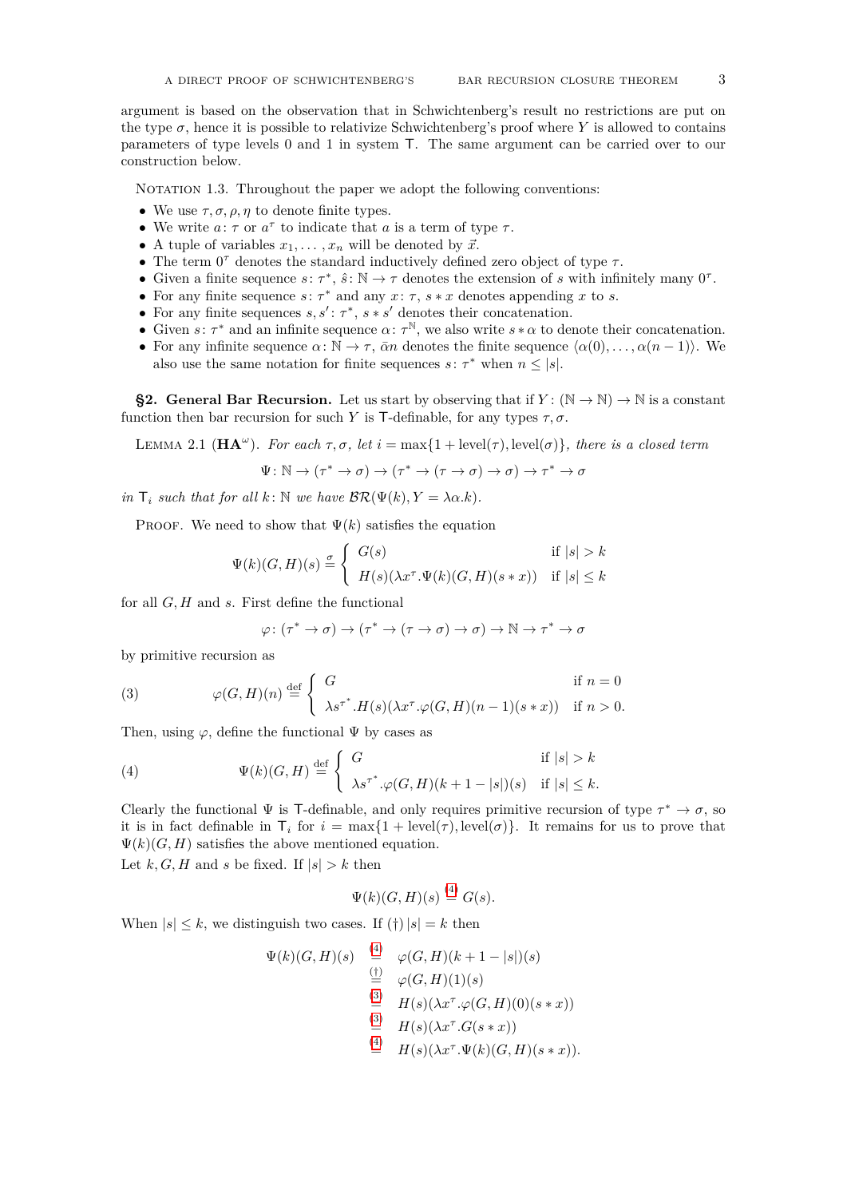argument is based on the observation that in Schwichtenberg's result no restrictions are put on the type  $\sigma$ , hence it is possible to relativize Schwichtenberg's proof where *Y* is allowed to contains parameters of type levels 0 and 1 in system T. The same argument can be carried over to our construction below.

NOTATION 1.3. Throughout the paper we adopt the following conventions:

- We use  $\tau$ ,  $\sigma$ ,  $\rho$ ,  $\eta$  to denote finite types.
- We write  $a: \tau$  or  $a^{\tau}$  to indicate that  $a$  is a term of type  $\tau$ .
- A tuple of variables  $x_1, \ldots, x_n$  will be denoted by  $\vec{x}$ .
- The term  $0^{\tau}$  denotes the standard inductively defined zero object of type  $\tau$ .
- Given a finite sequence  $s: \tau^*, \hat{s}: \mathbb{N} \to \tau$  denotes the extension of *s* with infinitely many  $0^{\tau}$ .
- For any finite sequence  $s: \tau^*$  and any  $x: \tau$ ,  $s * x$  denotes appending  $x$  to  $s$ .
- For any finite sequences  $s, s' : \tau^*, s * s'$  denotes their concatenation.
- Given  $s: \tau^*$  and an infinite sequence  $\alpha: \tau^{\mathbb{N}}$ , we also write  $s * \alpha$  to denote their concatenation.
- For any infinite sequence  $\alpha: \mathbb{N} \to \tau$ ,  $\bar{\alpha}n$  denotes the finite sequence  $\langle \alpha(0), \ldots, \alpha(n-1) \rangle$ . We also use the same notation for finite sequences  $s: \tau^*$  when  $n \leq |s|$ .

<span id="page-2-0"></span>**§2. General Bar Recursion.** Let us start by observing that if  $Y : (\mathbb{N} \to \mathbb{N}) \to \mathbb{N}$  is a constant function then bar recursion for such *Y* is T-definable, for any types  $\tau$ ,  $\sigma$ .

<span id="page-2-3"></span>LEMMA 2.1 ( $\mathbf{HA}^{\omega}$ ). For each  $\tau, \sigma$ , let  $i = \max\{1 + \text{level}(\tau), \text{level}(\sigma)\}\$ , there is a closed term

$$
\Psi \colon \mathbb{N} \to (\tau^\ast \to \sigma) \to (\tau^\ast \to (\tau \to \sigma) \to \sigma) \to \tau^\ast \to \sigma
$$

*in*  $\mathsf{T}_i$  *such that for all*  $k: \mathbb{N}$  *we have*  $\mathcal{BR}(\Psi(k), Y = \lambda \alpha. k)$ *.* 

PROOF. We need to show that  $\Psi(k)$  satisfies the equation

$$
\Psi(k)(G,H)(s) \stackrel{\sigma}{=} \begin{cases} G(s) & \text{if } |s| > k \\ H(s)(\lambda x^\tau \cdot \Psi(k)(G,H)(s*x)) & \text{if } |s| \le k \end{cases}
$$

for all *G, H* and *s*. First define the functional

<span id="page-2-2"></span> $\varphi \colon (\tau^* \to \sigma) \to (\tau^* \to (\tau \to \sigma) \to \sigma) \to \mathbb{N} \to \tau^* \to \sigma$ 

by primitive recursion as

(3) 
$$
\varphi(G,H)(n) \stackrel{\text{def}}{=} \begin{cases} G & \text{if } n = 0 \\ \lambda s^{\tau^*}. H(s) (\lambda x^{\tau}.\varphi(G,H)(n-1)(s*x)) & \text{if } n > 0. \end{cases}
$$

Then, using  $\varphi$ , define the functional  $\Psi$  by cases as

<span id="page-2-1"></span>(4) 
$$
\Psi(k)(G,H) \stackrel{\text{def}}{=} \begin{cases} G & \text{if } |s| > k \\ \lambda s^{\tau^*} \cdot \varphi(G,H)(k+1-|s|)(s) & \text{if } |s| \leq k. \end{cases}
$$

Clearly the functional  $\Psi$  is T-definable, and only requires primitive recursion of type  $\tau^* \to \sigma$ , so it is in fact definable in  $\mathsf{T}_i$  for  $i = \max\{1 + \text{level}(\tau), \text{level}(\sigma)\}\$ . It remains for us to prove that  $\Psi(k)(G, H)$  satisfies the above mentioned equation.

Let  $k, G, H$  and  $s$  be fixed. If  $|s| > k$  then

$$
\Psi(k)(G,H)(s) \stackrel{(4)}{=} G(s).
$$

 $\mathcal{L}$ 

When  $|s| \leq k$ , we distinguish two cases. If  $(\dagger) |s| = k$  then

$$
\Psi(k)(G,H)(s) \stackrel{(4)}{=} \varphi(G,H)(k+1-|s|)(s)
$$
  
\n
$$
\stackrel{(5)}{=} \varphi(G,H)(1)(s)
$$
  
\n
$$
\stackrel{(3)}{=} H(s)(\lambda x^{\tau}.\varphi(G,H)(0)(s*x))
$$
  
\n
$$
\stackrel{(4)}{=} H(s)(\lambda x^{\tau}.G(s*x))
$$
  
\n
$$
\stackrel{(4)}{=} H(s)(\lambda x^{\tau}.\Psi(k)(G,H)(s*x)).
$$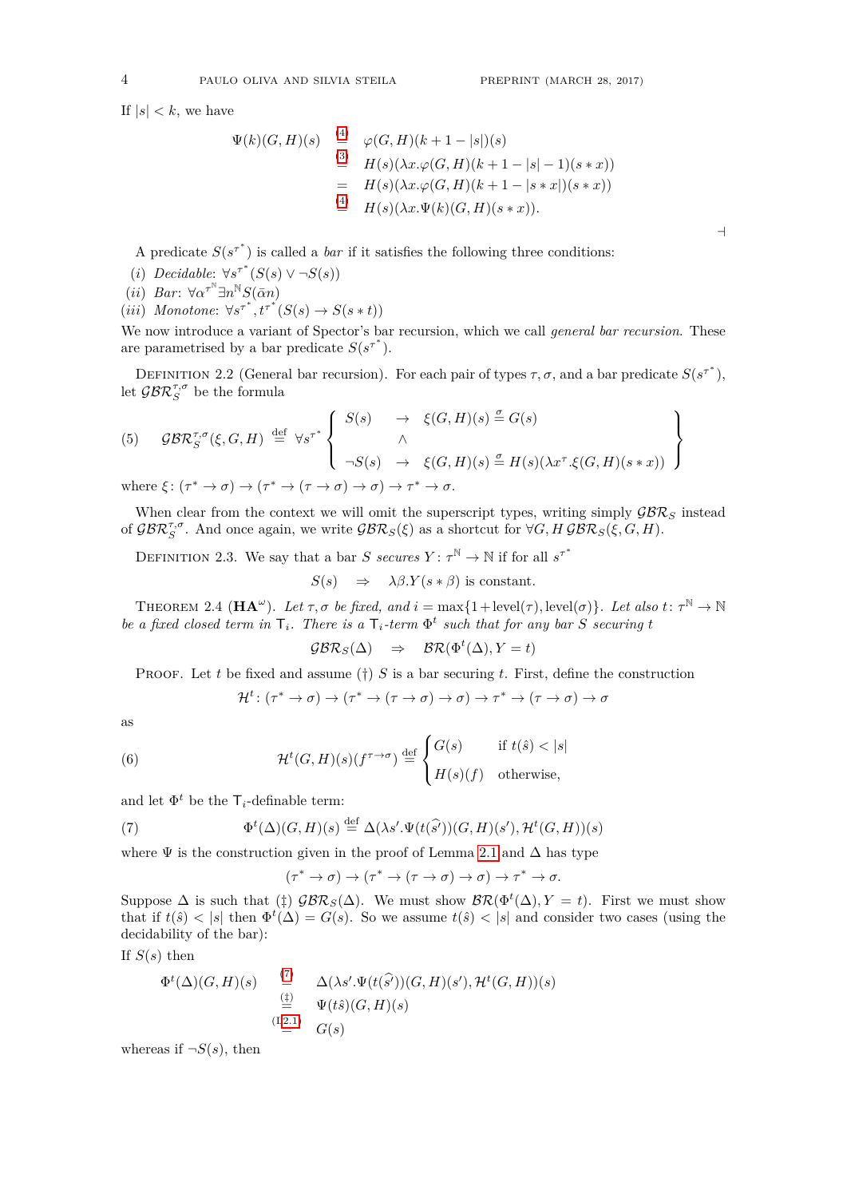$\overline{a}$ 

If  $|s| < k$ , we have

$$
\Psi(k)(G,H)(s) \stackrel{\text{(4)}}{=} \varphi(G,H)(k+1-|s|)(s) \n\stackrel{\text{(3)}}{=} H(s)(\lambda x.\varphi(G,H)(k+1-|s|-1)(s*x)) \n= H(s)(\lambda x.\varphi(G,H)(k+1-|s*x|)(s*x)) \n\stackrel{\text{(4)}}{=} H(s)(\lambda x.\Psi(k)(G,H)(s*x)).
$$

A predicate  $S(s^{\tau^*})$  is called a *bar* if it satisfies the following three conditions:

- (*i*) *Decidable*:  $\forall s^{\tau^*}(S(s) \lor \neg S(s))$
- $(iii)$  *Bar*:  $\forall \alpha^{\tau^{N}} \exists n^{N} S(\bar{\alpha}n)$
- $(iii)$  *Monotone*:  $\forall s^{\tau^*}, t^{\tau^*}(S(s) \rightarrow S(s*t))$

We now introduce a variant of Spector's bar recursion, which we call *general bar recursion*. These are parametrised by a bar predicate  $S(s^{\tau^*})$ .

DEFINITION 2.2 (General bar recursion). For each pair of types  $\tau$ ,  $\sigma$ , and a bar predicate  $S(s^{\tau^*})$ , let  $\mathcal{GBR}_{S}^{\tau,\sigma}$  be the formula

(5) 
$$
\mathcal{GBR}_{S}^{\tau,\sigma}(\xi, G, H) \stackrel{\text{def}}{=} \forall s^{\tau^{*}} \left\{ \begin{array}{ccc} S(s) & \rightarrow & \xi(G, H)(s) \stackrel{\sigma}{=} G(s) \\ \wedge & & \\ \neg S(s) & \rightarrow & \xi(G, H)(s) \stackrel{\sigma}{=} H(s)(\lambda x^{\tau} \cdot \xi(G, H)(s * x)) \end{array} \right\}
$$

where  $\xi: (\tau^* \to \sigma) \to (\tau^* \to (\tau \to \sigma) \to \sigma) \to \tau^* \to \sigma$ .

When clear from the context we will omit the superscript types, writing simply  $\mathcal{GBR}_S$  instead of  $\mathcal{GBR}_S^{\tau,\sigma}$ . And once again, we write  $\mathcal{GBR}_S(\xi)$  as a shortcut for  $\forall G, H \mathcal{GBR}_S(\xi, G, H)$ .

DEFINITION 2.3. We say that a bar *S secures*  $Y: \tau^{\mathbb{N}} \to \mathbb{N}$  if for all  $s^{\tau^*}$ 

$$
S(s) \Rightarrow \lambda \beta. Y(s * \beta) \text{ is constant.}
$$

<span id="page-3-2"></span>THEOREM 2.4  $(\mathbf{HA}^{\omega})$ . Let  $\tau, \sigma$  be fixed, and  $i = \max\{1 + \text{level}(\tau), \text{level}(\sigma)\}\$ . Let also  $t: \tau^{\mathbb{N}} \to \mathbb{N}$ *be a fixed closed term in*  $\mathsf{T}_i$ *. There is a*  $\mathsf{T}_i$ *-term*  $\Phi^t$  *such that for any bar S securing t* 

$$
\mathcal{GBR}_S(\Delta) \quad \Rightarrow \quad \mathcal{BR}(\Phi^t(\Delta), Y = t)
$$

Proof. Let *t* be fixed and assume (†) *S* is a bar securing *t*. First, define the construction

<span id="page-3-1"></span>
$$
\mathcal{H}^t \colon (\tau^* \to \sigma) \to (\tau^* \to (\tau \to \sigma) \to \sigma) \to \tau^* \to (\tau \to \sigma) \to \sigma
$$

as

(6) 
$$
\mathcal{H}^t(G,H)(s)(f^{\tau \to \sigma}) \stackrel{\text{def}}{=} \begin{cases} G(s) & \text{if } t(\hat{s}) < |s| \\ H(s)(f) & \text{otherwise,} \end{cases}
$$

and let  $\Phi^t$  be the  $\mathsf{T}_i$ -definable term:

(7) 
$$
\Phi^t(\Delta)(G,H)(s) \stackrel{\text{def}}{=} \Delta(\lambda s'.\Psi(t(\widehat{s'}))(G,H)(s'),\mathcal{H}^t(G,H))(s)
$$

where  $\Psi$  is the construction given in the proof of Lemma [2.1](#page-2-3) and  $\Delta$  has type

<span id="page-3-0"></span>
$$
(\tau^* \to \sigma) \to (\tau^* \to (\tau \to \sigma) \to \sigma) \to \tau^* \to \sigma.
$$

Suppose  $\Delta$  is such that ( $\sharp$ )  $\mathcal{GBR}_S(\Delta)$ . We must show  $\mathcal{BR}(\Phi^t(\Delta), Y = t)$ . First we must show that if  $t(\hat{s}) < |s|$  then  $\Phi^t(\Delta) = G(s)$ . So we assume  $t(\hat{s}) < |s|$  and consider two cases (using the decidability of the bar):

If  $S(s)$  then

$$
\Phi^t(\Delta)(G, H)(s) \stackrel{\text{(7)}}{=} \Delta(\lambda s'.\Psi(t(\widehat{s'}))(G, H)(s'), \mathcal{H}^t(G, H))(s)
$$
  
\n
$$
\stackrel{\text{(12.1)}}{=} \Psi(t\hat{s})(G, H)(s)
$$
  
\n
$$
\stackrel{\text{(12.1)}}{=} G(s)
$$

whereas if  $\neg S(s)$ , then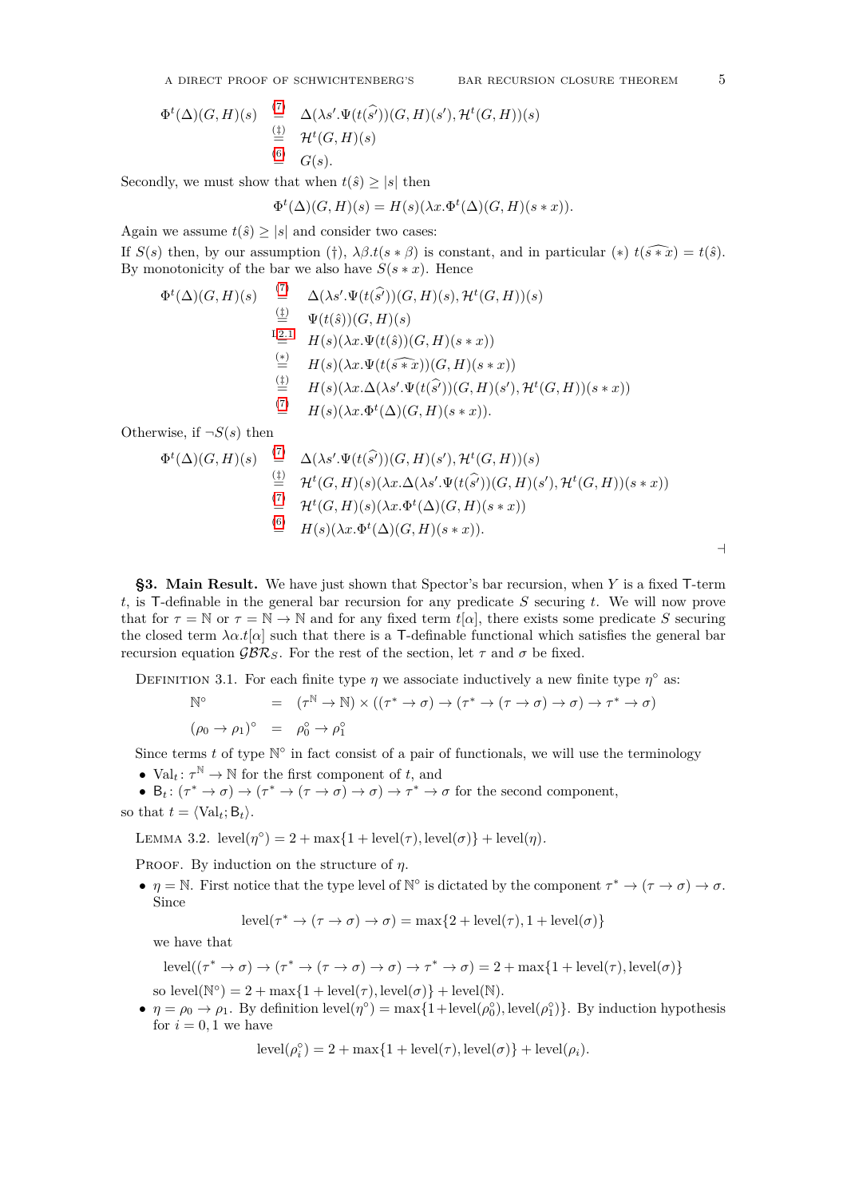A DIRECT PROOF OF SCHWICHTENBERG'S BAR RECURSION CLOSURE THEOREM 5

$$
\Phi^t(\Delta)(G, H)(s) \stackrel{(7)}{=} \Delta(\lambda s'.\Psi(t(\widehat{s'}))(G, H)(s'), \mathcal{H}^t(G, H))(s)
$$
  
\n
$$
\stackrel{(1)}{=} \mathcal{H}^t(G, H)(s)
$$
  
\n
$$
\stackrel{(6)}{=} G(s).
$$

Secondly, we must show that when  $t(\hat{s}) \geq |s|$  then

$$
\Phi^t(\Delta)(G, H)(s) = H(s)(\lambda x. \Phi^t(\Delta)(G, H)(s * x)).
$$

Again we assume  $t(\hat{s}) \geq |s|$  and consider two cases:

If  $S(s)$  then, by our assumption (†),  $\lambda \beta \cdot t(s * \beta)$  is constant, and in particular (\*)  $t(\widehat{s * x}) = t(\widehat{s})$ . By monotonicity of the bar we also have  $S(s * x)$ . Hence

$$
\Phi^t(\Delta)(G, H)(s) \stackrel{(7)}{=} \Delta(\lambda s'.\Psi(t(\widehat{s'}))(G, H)(s), \mathcal{H}^t(G, H))(s)
$$
  
\n
$$
\stackrel{(4)}{=} \Psi(t(\widehat{s}))(G, H)(s)
$$
  
\n
$$
\stackrel{L2.1}{=} H(s)(\lambda x.\Psi(t(\widehat{s}))(G, H)(s * x))
$$
  
\n
$$
\stackrel{(*)}{=} H(s)(\lambda x.\Psi(t(\widehat{s * x}))(G, H)(s * x))
$$
  
\n
$$
\stackrel{(4)}{=} H(s)(\lambda x.\Delta(\lambda s'.\Psi(t(\widehat{s'}))(G, H)(s'), \mathcal{H}^t(G, H))(s * x))
$$
  
\n
$$
\stackrel{(7)}{=} H(s)(\lambda x.\Phi^t(\Delta)(G, H)(s * x)).
$$

Otherwise, if  $\neg S(s)$  then

$$
\Phi^{t}(\Delta)(G,H)(s) \stackrel{(7)}{=} \Delta(\lambda s'.\Psi(t(\widehat{s'}))(G,H)(s'), \mathcal{H}^{t}(G,H))(s)
$$
  
\n
$$
\stackrel{(1)}{=} \mathcal{H}^{t}(G,H)(s)(\lambda x.\Delta(\lambda s'.\Psi(t(\widehat{s'}))(G,H)(s'), \mathcal{H}^{t}(G,H))(s * x))
$$
  
\n
$$
\stackrel{(7)}{=} \mathcal{H}^{t}(G,H)(s)(\lambda x.\Phi^{t}(\Delta)(G,H)(s * x))
$$
  
\n
$$
\stackrel{(6)}{=} H(s)(\lambda x.\Phi^{t}(\Delta)(G,H)(s * x)).
$$

<span id="page-4-0"></span>**§3. Main Result.** We have just shown that Spector's bar recursion, when *Y* is a fixed T-term *t*, is T-definable in the general bar recursion for any predicate *S* securing *t*. We will now prove that for  $\tau = \mathbb{N}$  or  $\tau = \mathbb{N} \to \mathbb{N}$  and for any fixed term  $t[\alpha]$ , there exists some predicate *S* securing the closed term  $\lambda \alpha t[\alpha]$  such that there is a T-definable functional which satisfies the general bar recursion equation  $\mathcal{GBR}_S$ . For the rest of the section, let  $\tau$  and  $\sigma$  be fixed.

DEFINITION 3.1. For each finite type  $\eta$  we associate inductively a new finite type  $\eta^{\circ}$  as:

$$
N^{\circ} = (\tau^{N} \to N) \times ((\tau^{*} \to \sigma) \to (\tau^{*} \to (\tau \to \sigma) \to \sigma) \to \tau^{*} \to \sigma)
$$
  

$$
(\rho_{0} \to \rho_{1})^{\circ} = \rho_{0}^{\circ} \to \rho_{1}^{\circ}
$$

Since terms  $t$  of type  $\mathbb{N}^{\circ}$  in fact consist of a pair of functionals, we will use the terminology

•  $Val_t: \tau^{\mathbb{N}} \to \mathbb{N}$  for the first component of *t*, and

•  $B_t: (\tau^* \to \sigma) \to (\tau^* \to (\tau \to \sigma) \to \sigma) \to \tau^* \to \sigma$  for the second component, so that  $t = \langle Val_t; B_t \rangle$ .

<span id="page-4-1"></span>LEMMA 3.2.  $level(\eta^{\circ}) = 2 + max\{1 + level(\tau), level(\sigma)\} + level(\eta)$ .

Proof. By induction on the structure of *η*.

•  $\eta = \mathbb{N}$ . First notice that the type level of  $\mathbb{N}^{\circ}$  is dictated by the component  $\tau^* \to (\tau \to \sigma) \to \sigma$ . Since

$$
level(\tau^* \to (\tau \to \sigma) \to \sigma) = max\{2 + level(\tau), 1 + level(\sigma)\}\
$$

we have that

$$
level((\tau^* \to \sigma) \to (\tau^* \to (\tau \to \sigma) \to \sigma) \to \tau^* \to \sigma) = 2 + max\{1 + level(\tau), level(\sigma)\}\
$$

so  $level(N^{\circ}) = 2 + max\{1 + level(\tau), level(\sigma)\} + level(N).$ 

•  $\eta = \rho_0 \to \rho_1$ . By definition level( $\eta^{\circ}$ ) = max{1+level( $\rho_0^{\circ}$ ), level( $\rho_1^{\circ}$ )}. By induction hypothesis for  $i = 0, 1$  we have

$$
level(\rho_i^{\circ}) = 2 + max\{1 + level(\tau), level(\sigma)\} + level(\rho_i).
$$

 $\overline{\phantom{a}}$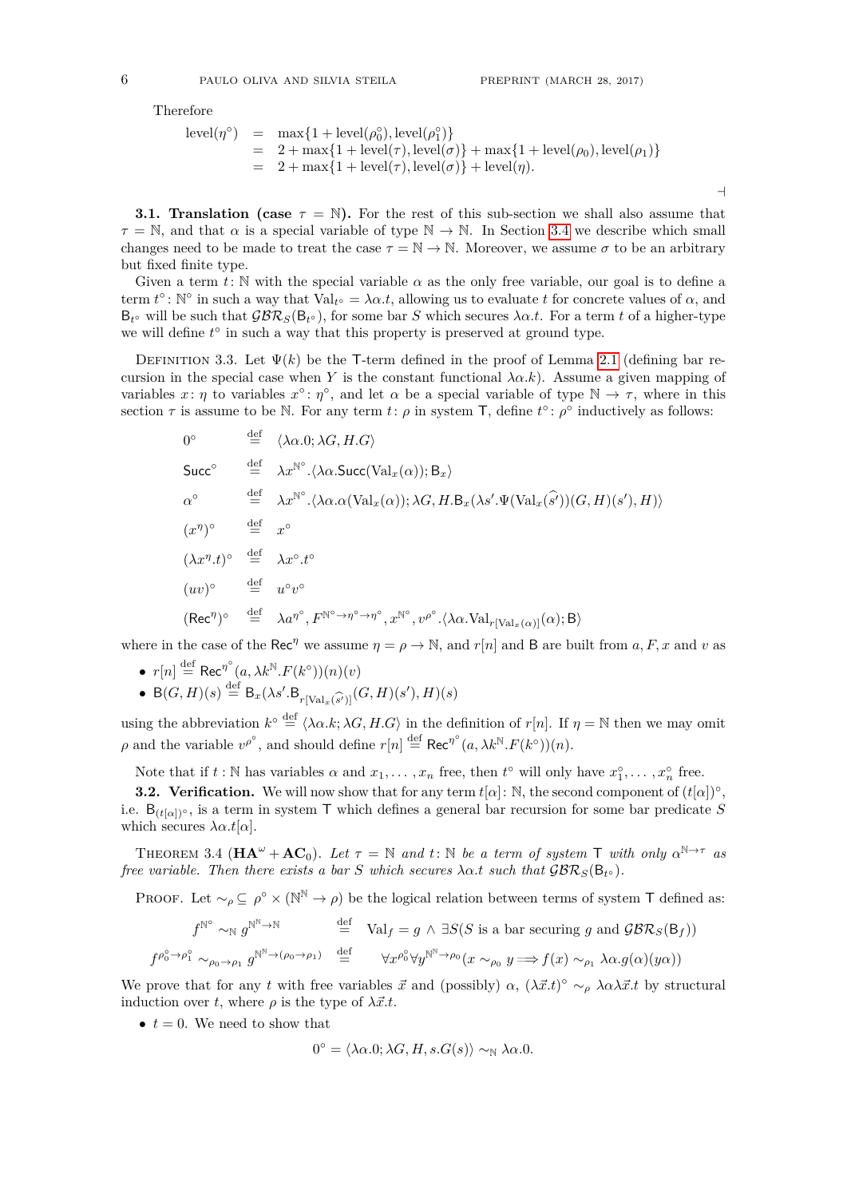Therefore

$$
level(\eta^{\circ}) = \max\{1 + level(\rho_0^{\circ}), level(\rho_1^{\circ})\}
$$
  
= 2 + max{1 + level(\tau), level(\sigma)} + max{1 + level(\rho\_0), level(\rho\_1)}  
= 2 + max{1 + level(\tau), level(\sigma)} + level(\eta).

**3.1. Translation (case**  $\tau = \mathbb{N}$ ). For the rest of this sub-section we shall also assume that  $\tau = \mathbb{N}$ , and that  $\alpha$  is a special variable of type  $\mathbb{N} \to \mathbb{N}$ . In Section [3.4](#page-9-0) we describe which small changes need to be made to treat the case  $\tau = \mathbb{N} \to \mathbb{N}$ . Moreover, we assume  $\sigma$  to be an arbitrary but fixed finite type.

Given a term  $t: \mathbb{N}$  with the special variable  $\alpha$  as the only free variable, our goal is to define a term  $t^{\circ}$ : N<sup>o</sup> in such a way that  $Val_{t^{\circ}} = \lambda \alpha.t$ , allowing us to evaluate *t* for concrete values of  $\alpha$ , and  $B_t$  will be such that  $\mathcal{GBR}_S(B_{t^{\circ}})$ , for some bar *S* which secures  $\lambda \alpha.t$ . For a term *t* of a higher-type we will define  $t^{\circ}$  in such a way that this property is preserved at ground type.

<span id="page-5-0"></span>DEFINITION 3.3. Let  $\Psi(k)$  be the T-term defined in the proof of Lemma [2.1](#page-2-3) (defining bar recursion in the special case when *Y* is the constant functional  $\lambda \alpha. k$ ). Assume a given mapping of variables  $x: \eta$  to variables  $x^{\circ}: \eta^{\circ}$ , and let  $\alpha$  be a special variable of type  $\mathbb{N} \to \tau$ , where in this section  $\tau$  is assume to be N. For any term *t*:  $\rho$  in system T, define  $t^{\circ}$ :  $\rho^{\circ}$  inductively as follows:

$$
0^{\circ} \stackrel{\text{def}}{=} \langle \lambda \alpha. 0; \lambda G, H. G \rangle
$$
  
\n
$$
\text{Succ}^{\circ} \stackrel{\text{def}}{=} \lambda x^{\mathbb{N}^{\circ}} \cdot \langle \lambda \alpha. \text{Succ}(\text{Val}_x(\alpha)); B_x \rangle
$$
  
\n
$$
\alpha^{\circ} \stackrel{\text{def}}{=} \lambda x^{\mathbb{N}^{\circ}} \cdot \langle \lambda \alpha. \alpha(\text{Val}_x(\alpha)); \lambda G, H. B_x(\lambda s'. \Psi(\text{Val}_x(\hat{s'}))(G, H)(s'), H) \rangle
$$
  
\n
$$
(x^{\eta})^{\circ} \stackrel{\text{def}}{=} x^{\circ}
$$
  
\n
$$
(\lambda x^{\eta} . t)^{\circ} \stackrel{\text{def}}{=} \lambda x^{\circ} . t^{\circ}
$$
  
\n
$$
(uv)^{\circ} \stackrel{\text{def}}{=} u^{\circ} v^{\circ}
$$
  
\n
$$
(\text{Rec}^{\eta})^{\circ} \stackrel{\text{def}}{=} \lambda a^{\eta^{\circ}}, F^{\mathbb{N}^{\circ} \to \eta^{\circ}} \cdot x^{\mathbb{N}^{\circ}}, v^{\rho^{\circ}} \cdot \langle \lambda \alpha. \text{Val}_{r[\text{Val}_x(\alpha)]}(\alpha); B \rangle
$$

where in the case of the Rec<sup>*n*</sup> we assume  $\eta = \rho \rightarrow \mathbb{N}$ , and  $r[n]$  and B are built from *a*, *F*, *x* and *v* as

- $r[n] \stackrel{\text{def}}{=} \text{Rec}^{\eta^{\circ}}(a, \lambda k^{\mathbb{N}} \cdot F(k^{\circ}))(n)(v)$
- B $(G, H)(s) \stackrel{\text{def}}{=} \mathsf{B}_x(\lambda s'.\mathsf{B}_{r[\text{Val}_x(\widehat{s'})]}(G, H)(s'), H)(s)$

using the abbreviation  $k^{\circ} \stackrel{\text{def}}{=} \langle \lambda \alpha. k; \lambda G, H. G \rangle$  in the definition of  $r[n]$ . If  $\eta = \mathbb{N}$  then we may omit  $\rho$  and the variable  $v^{\rho^{\circ}}$ , and should define  $r[n] \stackrel{\text{def}}{=} \text{Rec}^{\eta^{\circ}}(a, \lambda k^{\mathbb{N}} \cdot F(k^{\circ}))(n)$ .

Note that if  $t : \mathbb{N}$  has variables  $\alpha$  and  $x_1, \ldots, x_n$  free, then  $t^{\circ}$  will only have  $x_1^{\circ}, \ldots, x_n^{\circ}$  free.

**3.2. Verification.** We will now show that for any term  $t[\alpha]$ : N, the second component of  $(t[\alpha])^{\circ}$ , i.e. B(*t*[*α*])◦ , is a term in system T which defines a general bar recursion for some bar predicate *S* which secures  $\lambda \alpha.t[\alpha]$ .

<span id="page-5-1"></span>THEOREM 3.4  $(\mathbf{HA}^{\omega} + \mathbf{AC}_0)$ . Let  $\tau = \mathbb{N}$  and  $t : \mathbb{N}$  be a term of system  $\mathsf{T}$  with only  $\alpha^{\mathbb{N} \to \tau}$  as *free variable. Then there exists a bar S which secures*  $\lambda \alpha.t$  *such that*  $\mathcal{GBR}_S(\mathsf{B}_{t^{\circ}})$ *.* 

PROOF. Let  $\sim_{\rho} \subseteq \rho^{\circ} \times (\mathbb{N}^{\mathbb{N}} \to \rho)$  be the logical relation between terms of system T defined as:

$$
f^{\mathbb{N}^{\circ}} \sim_{\mathbb{N}} g^{\mathbb{N}^{\mathbb{N}} \to \mathbb{N}} \stackrel{\text{def}}{=} \text{Val}_{f} = g \land \exists S(S \text{ is a bar securing } g \text{ and } \mathcal{GBR}_{S}(B_{f}))
$$
  

$$
f^{\rho_{0}^{\circ} \to \rho_{1}^{\circ}} \sim_{\rho_{0} \to \rho_{1}} g^{\mathbb{N}^{\mathbb{N}} \to (\rho_{0} \to \rho_{1})} \stackrel{\text{def}}{=} \forall x^{\rho_{0}^{\circ}} \forall y^{\mathbb{N}^{\mathbb{N}} \to \rho_{0}} (x \sim_{\rho_{0}} y \Longrightarrow f(x) \sim_{\rho_{1}} \lambda \alpha. g(\alpha)(y\alpha))
$$

We prove that for any *t* with free variables  $\vec{x}$  and (possibly)  $\alpha$ ,  $(\lambda \vec{x}.t)$ <sup>o</sup> ~ $\rho$   $\lambda \alpha \lambda \vec{x}.t$  by structural induction over *t*, where  $\rho$  is the type of  $\lambda \vec{x}.t$ .

•  $t = 0$ . We need to show that

$$
0^{\circ} = \langle \lambda \alpha. 0; \lambda G, H, s. G(s) \rangle \sim_{\mathbb{N}} \lambda \alpha. 0.
$$

 $\rightarrow$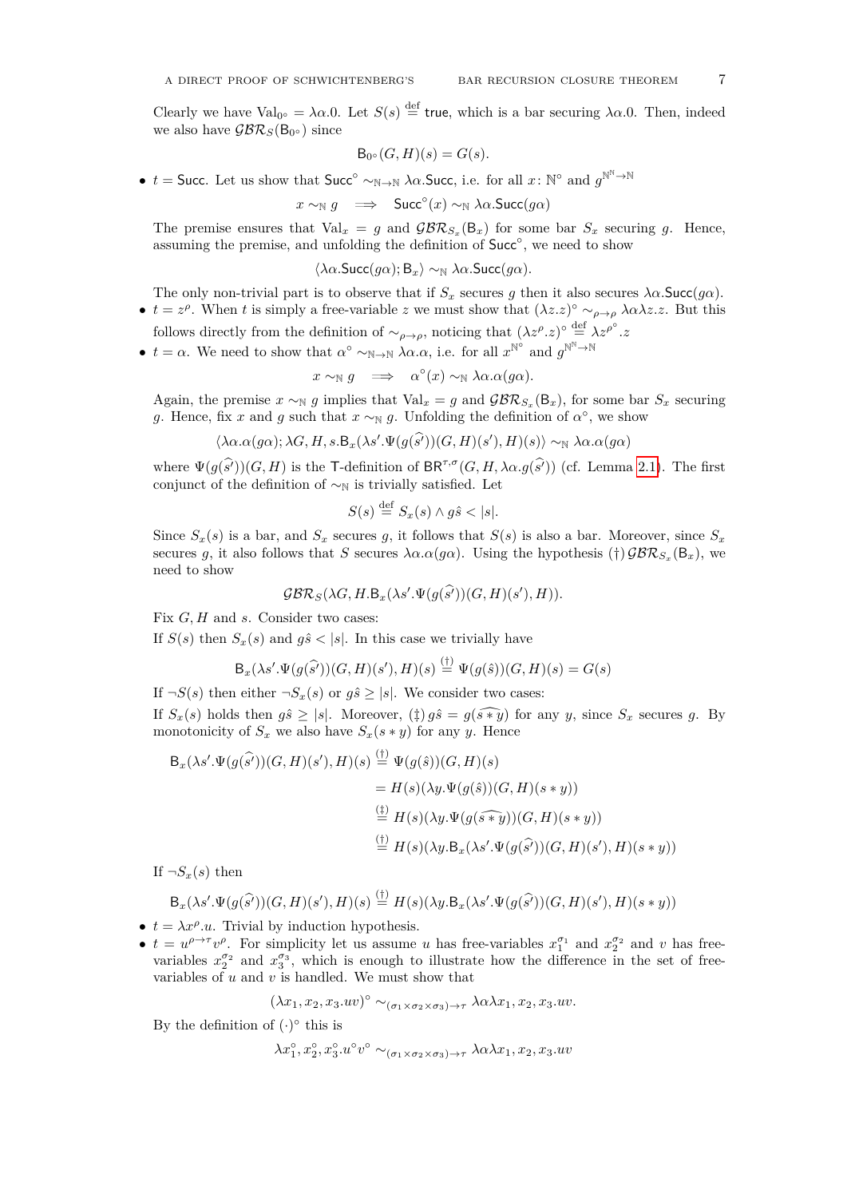Clearly we have Val<sub>0</sub><sup>o</sup> =  $\lambda \alpha.0$ . Let  $S(s) \stackrel{\text{def}}{=}$  true, which is a bar securing  $\lambda \alpha.0$ . Then, indeed we also have  $\mathcal{GBR}_S(\mathsf{B}_{0\circ})$  since

$$
\mathsf{B}_{0^{\circ}}(G,H)(s) = G(s).
$$

•  $t =$  Succ. Let us show that Succ<sup>°</sup>  $\sim_{\mathbb{N} \to \mathbb{N}} \lambda \alpha$ . Succ, i.e. for all  $x \colon \mathbb{N}^{\circ}$  and  $g^{\mathbb{N}^{\mathbb{N}} \to \mathbb{N}}$ 

$$
x \sim_{\mathbb{N}} g \implies \text{Succ}^{\circ}(x) \sim_{\mathbb{N}} \lambda \alpha. \text{Succ}(g\alpha)
$$

The premise ensures that  $Val_x = g$  and  $\mathcal{GBR}_{S_x}(\mathsf{B}_x)$  for some bar  $S_x$  securing g. Hence, assuming the premise, and unfolding the definition of Succ<sup>o</sup>, we need to show

$$
\langle \lambda \alpha. \textsf{Succ}(g\alpha); \mathsf{B}_x \rangle \sim_{\mathbb{N}} \lambda \alpha. \textsf{Succ}(g\alpha).
$$

The only non-trivial part is to observe that if  $S_x$  secures *g* then it also secures  $\lambda \alpha$ . Succ(*g* $\alpha$ ).

- $t = z^{\rho}$ . When *t* is simply a free-variable *z* we must show that  $(\lambda z.\overline{z})^{\circ} \sim_{\rho \to \rho} \lambda \alpha \lambda z.z$ . But this follows directly from the definition of  $\sim_{\rho \to \rho}$ , noticing that  $(\lambda z^{\rho}.z)^{\circ} \stackrel{\text{def}}{=} \lambda z^{\rho^{\circ}}.z$
- $t = \alpha$ . We need to show that  $\alpha^{\circ} \sim_{\mathbb{N} \to \mathbb{N}} \lambda \alpha \cdot \alpha$ , i.e. for all  $x^{\mathbb{N}^{\circ}}$  and  $g^{\mathbb{N}^{\mathbb{N}} \to \mathbb{N}}$

$$
x \sim_{\mathbb{N}} g \implies \alpha^{\circ}(x) \sim_{\mathbb{N}} \lambda \alpha. \alpha(g\alpha).
$$

Again, the premise  $x \sim_N g$  implies that  $Val_x = g$  and  $\mathcal{GBR}_{S_x}(\mathsf{B}_x)$ , for some bar  $S_x$  securing *g*. Hence, fix *x* and *g* such that  $x \sim_N g$ . Unfolding the definition of  $\alpha^{\circ}$ , we show

$$
\langle \lambda \alpha. \alpha(g\alpha); \lambda G, H, s. \mathsf{B}_{x}(\lambda s'.\Psi(g(\widehat{s'}))(G,H)(s'),H)(s) \rangle \sim_{\mathbb{N}} \lambda \alpha. \alpha(g\alpha)
$$

where  $\Psi(g(\widehat{s}'))(G, H)$  is the T-definition of BR<sup> $\tau, \sigma$ </sup>(*G, H,*  $\lambda \alpha. g(\widehat{s}')$ ) (cf. Lemma [2.1\)](#page-2-3). The first conjunct of the definition of  $\sim_N$  is trivially satisfied. Let

$$
S(s) \stackrel{\text{def}}{=} S_x(s) \land g\hat{s} < |s|.
$$

Since  $S_x(s)$  is a bar, and  $S_x$  secures g, it follows that  $S(s)$  is also a bar. Moreover, since  $S_x$ secures *g*, it also follows that *S* secures  $\lambda \alpha \cdot \alpha(g\alpha)$ . Using the hypothesis (†)  $\mathcal{GBR}_{S_x}(\mathsf{B}_x)$ , we need to show

$$
\mathcal{GBR}_S(\lambda G, H.B_x(\lambda s'.\Psi(g(\widehat{s'}))(G, H)(s'), H)).
$$

Fix *G, H* and *s*. Consider two cases:

If  $S(s)$  then  $S_x(s)$  and  $g\hat{s} < |s|$ . In this case we trivially have

$$
\mathsf{B}_{x}(\lambda s'.\Psi(g(\widehat{s'}))(G,H)(s'),H)(s) \stackrel{\text{(t)}}{=} \Psi(g(\widehat{s}))(G,H)(s) = G(s)
$$

If  $\neg S(s)$  then either  $\neg S_x(s)$  or  $g\hat{s} \geq |s|$ . We consider two cases:

If  $S_x(s)$  holds then  $g\hat{s} \geq |s|$ . Moreover,  $(\ddagger) g\hat{s} = g(\widehat{s*y})$  for any *y*, since  $S_x$  secures *g*. By monotonicity of  $S_x$  we also have  $S_x(s * y)$  for any *y*. Hence

$$
B_x(\lambda s'.\Psi(g(\widehat{s'}))(G,H)(s'),H)(s) \stackrel{(\dagger)}{=} \Psi(g(\widehat{s}))(G,H)(s)
$$
  
\n
$$
= H(s)(\lambda y.\Psi(g(\widehat{s}))(G,H)(s*y))
$$
  
\n
$$
\stackrel{(\dagger)}{=} H(s)(\lambda y.\Psi(g(\widehat{s*y}))(G,H)(s*y))
$$
  
\n
$$
\stackrel{(\dagger)}{=} H(s)(\lambda y.B_x(\lambda s'.\Psi(g(\widehat{s'}))(G,H)(s'),H)(s*y))
$$

If  $\neg S_x(s)$  then

$$
B_x(\lambda s'.\Psi(g(\widehat{s'}))(G,H)(s'),H)(s) \stackrel{(\dagger)}{=} H(s)(\lambda y.B_x(\lambda s'.\Psi(g(\widehat{s'}))(G,H)(s'),H)(s*y))
$$

- $t = \lambda x^{\rho}.u$ . Trivial by induction hypothesis.
- $t = u^{\rho \to \tau} v^{\rho}$ . For simplicity let us assume *u* has free-variables  $x_1^{\sigma_1}$  and  $x_2^{\sigma_2}$  and *v* has freevariables  $x_2^{\sigma_2}$  and  $x_3^{\sigma_3}$ , which is enough to illustrate how the difference in the set of freevariables of *u* and *v* is handled. We must show that

$$
(\lambda x_1, x_2, x_3.uv)^{\circ} \sim_{(\sigma_1 \times \sigma_2 \times \sigma_3) \to \tau} \lambda \alpha \lambda x_1, x_2, x_3.uv.
$$

By the definition of  $(·)°$  this is

$$
\lambda x_1^{\circ}, x_2^{\circ}, x_3^{\circ}.u^{\circ}v^{\circ} \sim_{(\sigma_1 \times \sigma_2 \times \sigma_3) \to \tau} \lambda \alpha \lambda x_1, x_2, x_3.uv
$$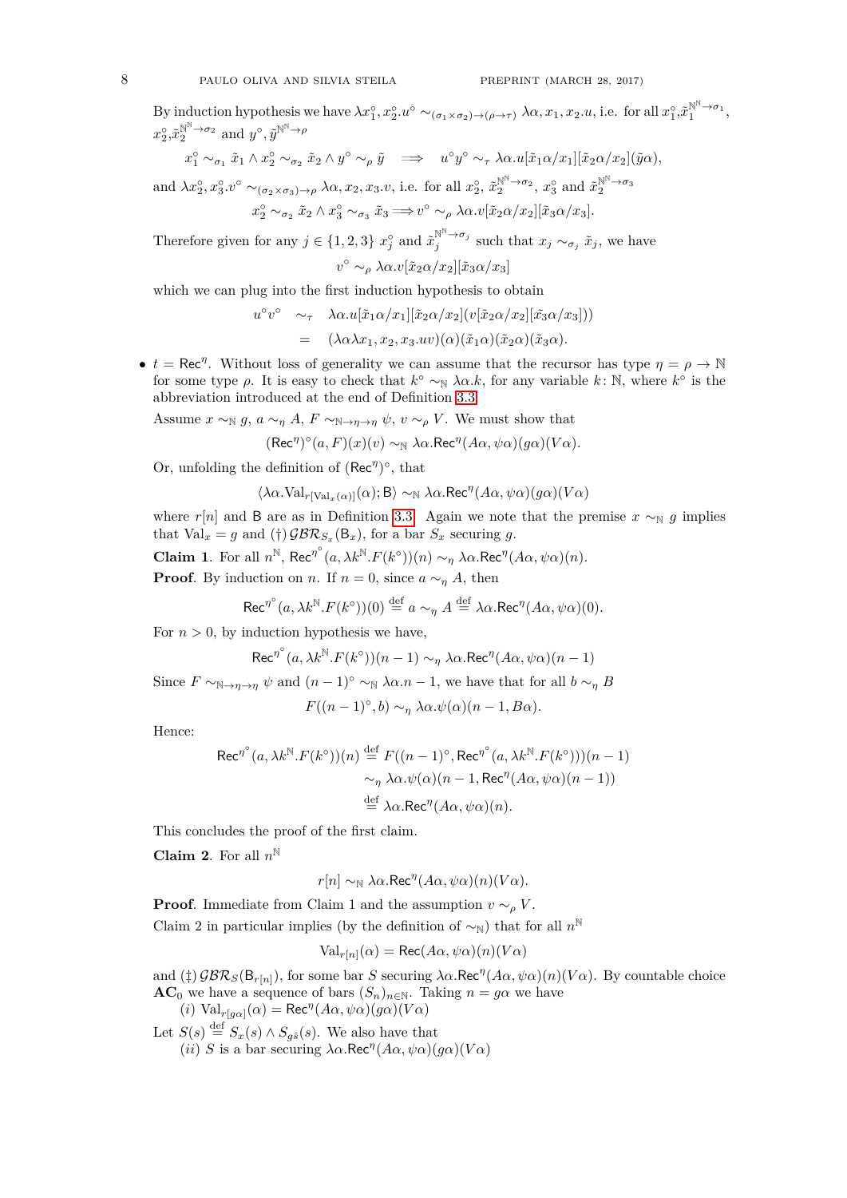By induction hypothesis we have  $\lambda x_1^{\circ}, x_2^{\circ} \cdot u^{\circ} \sim_{(\sigma_1 \times \sigma_2) \to (\rho \to \tau)} \lambda \alpha, x_1, x_2, u$ , i.e. for all  $x_1^{\circ}, \tilde{x}_1^{\mathbb{N}^{\mathbb{N}} \to \sigma_1}$ ,  $x_2^{\circ}, \tilde{x}_2^{\mathbb{N}^{\mathbb{N}} \to \sigma_2}$  and  $y^{\circ}, \tilde{y}^{\mathbb{N}^{\mathbb{N}} \to \rho}$ 

$$
x_1^{\circ} \sim_{\sigma_1} \tilde{x}_1 \wedge x_2^{\circ} \sim_{\sigma_2} \tilde{x}_2 \wedge y^{\circ} \sim_{\rho} \tilde{y} \implies u^{\circ} y^{\circ} \sim_{\tau} \lambda \alpha.u[\tilde{x}_1 \alpha/x_1][\tilde{x}_2 \alpha/x_2](\tilde{y} \alpha),
$$
  
and  $\lambda x_2^{\circ}, x_3^{\circ}, v^{\circ} \sim_{(\sigma_2 \times \sigma_3) \to \rho} \lambda \alpha, x_2, x_3. v$ , i.e. for all  $x_2^{\circ}, \tilde{x}_2^{\mathbb{N}^{\mathbb{N}} \to \sigma_2}, x_3^{\circ}$  and  $\tilde{x}_2^{\mathbb{N}^{\mathbb{N}} \to \sigma_3}$ 

2

$$
x_2^{\circ} \sim_{\sigma_2} \tilde{x}_2 \wedge x_3^{\circ} \sim_{\sigma_3} \tilde{x}_3 \Longrightarrow v^{\circ} \sim_{\rho} \lambda \alpha . v[\tilde{x}_2 \alpha / x_2][\tilde{x}_3 \alpha / x_3].
$$

Therefore given for any  $j \in \{1, 2, 3\}$   $x_j^{\circ}$  and  $\tilde{x}_j^{\mathbb{N}^{\mathbb{N}} \to \sigma_j}$  such that  $x_j \sim_{\sigma_j} \tilde{x}_j$ , we have  $v^{\circ}$  ∼<sub>ρ</sub> λα. $v[\tilde{x}_2α/x_2][\tilde{x}_3α/x_3]$ 

which we can plug into the first induction hypothesis to obtain

$$
u^{\circ}v^{\circ} \sim_{\tau} \lambda \alpha.u[\tilde{x}_1 \alpha/x_1][\tilde{x}_2 \alpha/x_2](v[\tilde{x}_2 \alpha/x_2][\tilde{x}_3 \alpha/x_3]))
$$
  
=  $(\lambda \alpha \lambda x_1, x_2, x_3.uv)(\alpha)(\tilde{x}_1 \alpha)(\tilde{x}_2 \alpha)(\tilde{x}_3 \alpha).$ 

•  $t = \text{Rec}^{\eta}$ . Without loss of generality we can assume that the recursor has type  $\eta = \rho \to \mathbb{N}$ for some type  $\rho$ . It is easy to check that  $k^{\circ} \sim_{\mathbb{N}} \lambda \alpha.k$ , for any variable  $k: \mathbb{N}$ , where  $k^{\circ}$  is the abbreviation introduced at the end of Definition [3.3.](#page-5-0)

Assume  $x \sim_{\mathbb{N}} g$ ,  $a \sim_{\eta} A$ ,  $F \sim_{\mathbb{N}\to\eta\to\eta} \psi$ ,  $v \sim_{\rho} V$ . We must show that

$$
(\text{Rec}^{\eta})^{\circ}(a, F)(x)(v) \sim_{\mathbb{N}} \lambda \alpha \cdot \text{Rec}^{\eta}(A\alpha, \psi\alpha)(g\alpha)(V\alpha).
$$

Or, unfolding the definition of  $(Rec<sup>η</sup>)<sup>°</sup>$ , that

$$
\langle \lambda\alpha.\textnormal{Val}_{r[\textnormal{Val}_{x}(\alpha)]}(\alpha); \textnormal{B}\rangle \sim_{\mathbb{N}} \lambda\alpha.\textnormal{Rec}^{\eta}(A\alpha,\psi\alpha)(g\alpha)(V\alpha)
$$

where  $r[n]$  and B are as in Definition [3.3.](#page-5-0) Again we note that the premise  $x \sim_N g$  implies that  $\text{Val}_x = g$  and  $(\dagger)$   $\mathcal{GBR}_{S_x}(\mathsf{B}_x)$ , for a bar  $S_x$  securing g.

**Claim 1**. For all  $n^{\mathbb{N}}$ , Rec<sup>*n*</sup><sup>°</sup> $(a, \lambda k^{\mathbb{N}} \cdot F(k^{\circ}))(n) \sim_{\eta} \lambda \alpha$ .Rec<sup>*n*</sup> $(A\alpha, \psi\alpha)(n)$ .

**Proof.** By induction on *n*. If  $n = 0$ , since  $a \sim_{\eta} A$ , then

$$
\operatorname{Rec}^{\eta^{\circ}}(a, \lambda k^{\mathbb{N}}. F(k^{\circ}))(0) \stackrel{\text{def}}{=} a \sim_{\eta} A \stackrel{\text{def}}{=} \lambda \alpha. \operatorname{Rec}^{\eta}(A\alpha, \psi\alpha)(0).
$$

For  $n > 0$ , by induction hypothesis we have,

$$
\text{Rec}^{\eta^{\circ}}(a, \lambda k^{\mathbb{N}}. F(k^{\circ}))(n-1) \sim_{\eta} \lambda \alpha. \text{Rec}^{\eta}(A\alpha, \psi\alpha)(n-1)
$$

Since  $F \sim_{\mathbb{N} \to \eta \to \eta} \psi$  and  $(n-1)^\circ \sim_{\mathbb{N}} \lambda \alpha.n-1$ , we have that for all  $b \sim_n B$ 

$$
F((n-1)^{\circ},b) \sim_{\eta} \lambda \alpha.\psi(\alpha)(n-1,B\alpha).
$$

Hence:

$$
\operatorname{Rec}^{\eta^{\circ}}(a, \lambda k^{\mathbb{N}} \cdot F(k^{\circ}))(n) \stackrel{\text{def}}{=} F((n-1)^{\circ}, \operatorname{Rec}^{\eta^{\circ}}(a, \lambda k^{\mathbb{N}} \cdot F(k^{\circ}))(n-1)
$$

$$
\sim_{\eta} \lambda \alpha \cdot \psi(\alpha)(n-1, \operatorname{Rec}^{\eta}(A\alpha, \psi\alpha)(n-1))
$$

$$
\stackrel{\text{def}}{=} \lambda \alpha \cdot \operatorname{Rec}^{\eta}(A\alpha, \psi\alpha)(n).
$$

This concludes the proof of the first claim.

**Claim 2**. For all *n* N

$$
r[n] \sim_{\mathbb{N}} \lambda \alpha \cdot \text{Rec}^{\eta}(A\alpha, \psi\alpha)(n)(V\alpha).
$$

**Proof.** Immediate from Claim 1 and the assumption  $v \sim_{\rho} V$ . Claim 2 in particular implies (by the definition of  $\sim_N$ ) that for all  $n^N$ 

$$
Val_{r[n]}(\alpha) = \text{Rec}(A\alpha, \psi\alpha)(n)(V\alpha)
$$

and  $(\frac{4}{7})$  GBR<sub>S</sub>(B<sub>r[*n*]</sub>), for some bar *S* securing  $\lambda \alpha$ . Rec<sup>*n*</sup>( $A\alpha$ ,  $\psi \alpha$ )(*n*)( $V\alpha$ ). By countable choice **AC**<sub>0</sub> we have a sequence of bars  $(S_n)_{n \in \mathbb{N}}$ . Taking  $n = g\alpha$  we have

 $(i)$  Val<sub>*r*[*gα*]( $\alpha$ ) = Rec<sup>*n*</sup>(*Aα*,  $\psi \alpha$ )( $g \alpha$ )(*Vα*)</sub>

Let  $S(s) \stackrel{\text{def}}{=} S_x(s) \wedge S_{g\hat{s}}(s)$ . We also have that

(*ii*) *S* is a bar securing  $\lambda \alpha$ .Rec<sup>*n*</sup>( $A\alpha$ ,  $\psi \alpha$ )( $g\alpha$ )( $V\alpha$ )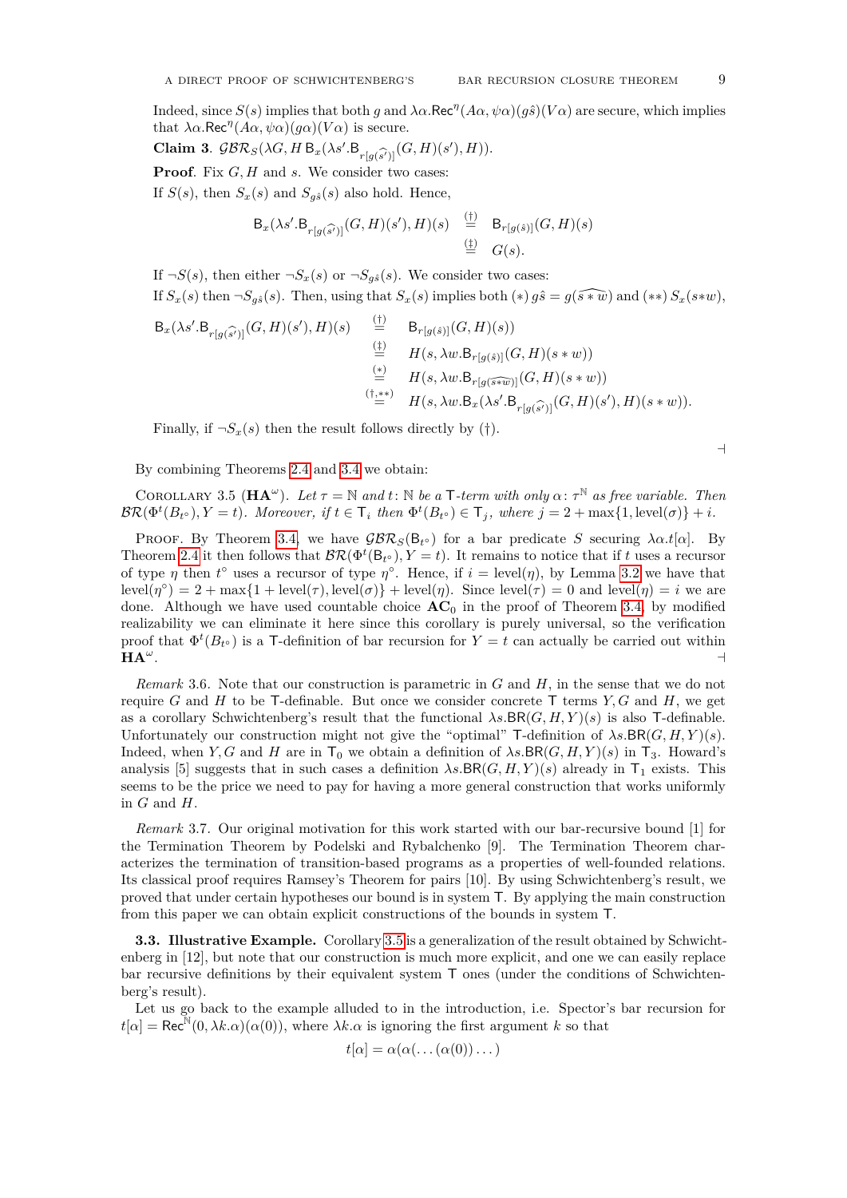Indeed, since  $S(s)$  implies that both *g* and  $\lambda \alpha$ . Rec<sup>*n*</sup>( $A\alpha$ ,  $\psi \alpha$ )( $g\hat{s}$ )( $V\alpha$ ) are secure, which implies that  $\lambda \alpha$ .Rec<sup>*n*</sup>( $A\alpha$ ,  $\psi \alpha$ )( $g\alpha$ )( $V\alpha$ ) is secure.

**Claim 3.**  $GBR_S(\lambda G, H B_x(\lambda s'.B_{r[g(\widehat{s'})]}(G, H)(s'), H)).$ <br>**Proof** Fin *G*, *H* and a We consider two second

**Proof**. Fix *G, H* and *s*. We consider two cases:

If  $S(s)$ , then  $S_x(s)$  and  $S_{g\hat{s}}(s)$  also hold. Hence,

$$
\mathsf{B}_{x}(\lambda s' \cdot \mathsf{B}_{r[g(\widehat{s'})]}(G,H)(s'),H)(s) \stackrel{\text{(t)}}{=} \mathsf{B}_{r[g(\widehat{s})]}(G,H)(s)
$$
  

$$
\stackrel{\text{(t)}}{=} G(s).
$$

If  $\neg S(s)$ , then either  $\neg S_x(s)$  or  $\neg S_{g\hat{s}}(s)$ . We consider two cases:

If  $S_x(s)$  then  $\neg S_{g\hat{s}}(s)$ . Then, using that  $S_x(s)$  implies both  $(*) g\hat{s} = g(\widehat{s \ast w})$  and  $(**) S_x(s \ast w)$ ,

$$
\begin{array}{llll} \mathsf{B}_{x}(\lambda s'.\mathsf{B}_{r[g(\widehat{s'})]}(G,H)(s'),H)(s)&\stackrel{(\dagger)}{=} &\mathsf{B}_{r[g(\widehat{s})]}(G,H)(s))\\ &\stackrel{(\dagger)}{=} &H(s,\lambda w.\mathsf{B}_{r[g(\widehat{s})]}(G,H)(s*w))\\ &\stackrel{(\ast)}{=} &H(s,\lambda w.\mathsf{B}_{r[g(\widehat{s*\widehat{w})}]}(G,H)(s*w))\\ &\stackrel{(\dagger,\ast\ast)}{=} &H(s,\lambda w.\mathsf{B}_{x}(\lambda s'.\mathsf{B}_{r[g(\widehat{s'})]}(G,H)(s'),H)(s*w)). \end{array}
$$

Finally, if  $\neg S_x(s)$  then the result follows directly by (†).

By combining Theorems [2.4](#page-3-2) and [3.4](#page-5-1) we obtain:

 $\overline{a}$ 

<span id="page-8-0"></span>COROLLARY 3.5  $(HA^{\omega})$ . Let  $\tau = \mathbb{N}$  and  $t : \mathbb{N}$  be a T-term with only  $\alpha : \tau^{\mathbb{N}}$  as free variable. Then  $\mathcal{BR}(\Phi^t(B_{t_o}), Y = t)$ . Moreover, if  $t \in \mathsf{T}_i$  then  $\Phi^t(B_{t_o}) \in \mathsf{T}_j$ , where  $j = 2 + \max\{1, \text{level}(\sigma)\} + i$ .

PROOF. By Theorem [3.4,](#page-5-1) we have  $\mathcal{GBR}_S(B_{t^{\circ}})$  for a bar predicate *S* securing  $\lambda \alpha.t[\alpha]$ . By Theorem [2.4](#page-3-2) it then follows that  $\mathcal{BR}(\Phi^t(\mathsf{B}_{t\circ}), Y = t)$ . It remains to notice that if *t* uses a recursor of type *η* then *t*<sup>°</sup> uses a recursor of type *η*<sup>°</sup>. Hence, if  $i = \text{level}(\eta)$ , by Lemma [3.2](#page-4-1) we have that  $\text{level}(\eta^{\circ}) = 2 + \max\{1 + \text{level}(\tau), \text{level}(\sigma)\} + \text{level}(\eta)$ . Since  $\text{level}(\tau) = 0$  and  $\text{level}(\eta) = i$  we are done. Although we have used countable choice  $AC_0$  in the proof of Theorem [3.4,](#page-5-1) by modified realizability we can eliminate it here since this corollary is purely universal, so the verification proof that  $\Phi^t(B_{t^{\circ}})$  is a T-definition of bar recursion for  $Y = t$  can actually be carried out within  $HA^{\omega}$ . . A construction of the construction of the construction of the construction of the construction of the construction of the construction of the construction of the construction of the construction of the construction of th

*Remark* 3.6*.* Note that our construction is parametric in *G* and *H*, in the sense that we do not require *G* and *H* to be T-definable. But once we consider concrete T terms  $Y, G$  and  $H$ , we get as a corollary Schwichtenberg's result that the functional  $\lambda s \cdot BR(G, H, Y)(s)$  is also T-definable. Unfortunately our construction might not give the "optimal" T-definition of  $\lambda s \cdot BR(G, H, Y)(s)$ . Indeed, when *Y*, *G* and *H* are in  $\mathsf{T}_0$  we obtain a definition of  $\lambda s \cdot BR(G, H, Y)(s)$  in  $\mathsf{T}_3$ . Howard's analysis [5] suggests that in such cases a definition  $\lambda s \cdot BR(G, H, Y)(s)$  already in  $T_1$  exists. This seems to be the price we need to pay for having a more general construction that works uniformly in *G* and *H*.

*Remark* 3.7*.* Our original motivation for this work started with our bar-recursive bound [1] for the Termination Theorem by Podelski and Rybalchenko [9]. The Termination Theorem characterizes the termination of transition-based programs as a properties of well-founded relations. Its classical proof requires Ramsey's Theorem for pairs [10]. By using Schwichtenberg's result, we proved that under certain hypotheses our bound is in system T. By applying the main construction from this paper we can obtain explicit constructions of the bounds in system T.

**3.3. Illustrative Example.** Corollary [3.5](#page-8-0) is a generalization of the result obtained by Schwichtenberg in [12], but note that our construction is much more explicit, and one we can easily replace bar recursive definitions by their equivalent system T ones (under the conditions of Schwichtenberg's result).

Let us go back to the example alluded to in the introduction, i.e. Spector's bar recursion for  $t[\alpha] = \text{Rec}^{\mathbb{N}}(0, \lambda k.\alpha)(\alpha(0)),$  where  $\lambda k.\alpha$  is ignoring the first argument *k* so that

$$
t[\alpha] = \alpha(\alpha(\dots(\alpha(0))\dots)
$$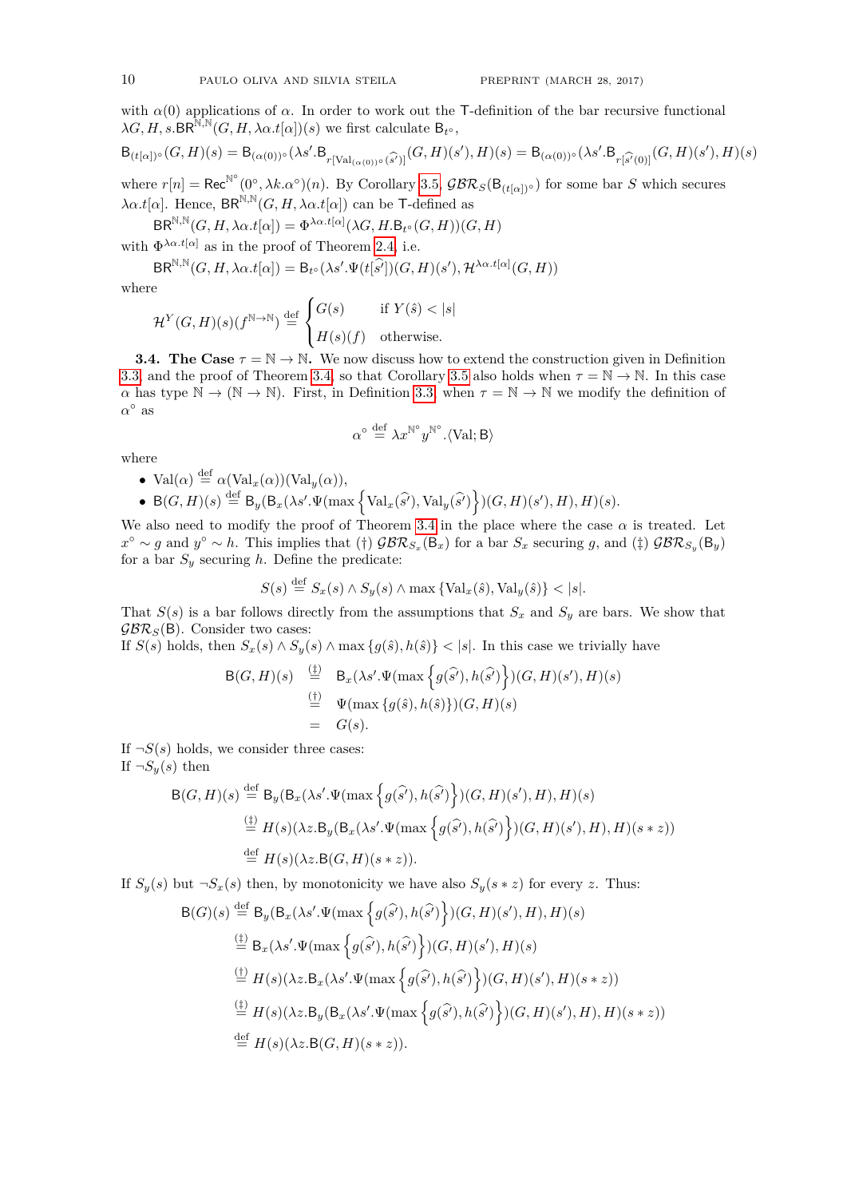with  $\alpha(0)$  applications of  $\alpha$ . In order to work out the T-definition of the bar recursive functional  $\lambda G, H, s.$ BR<sup>N,N</sup> $(G, H, \lambda \alpha.t[\alpha])(s)$  we first calculate  $B_{t^{\circ}},$ 

$$
\mathsf{B}_{(t[\alpha])^\circ}(G,H)(s)=\mathsf{B}_{(\alpha(0))^\circ}(\lambda s'.\mathsf{B}_{r[\operatorname{Val}_{(\alpha(0))^\circ}(\widehat{s'})]}(G,H)(s'),H)(s)=\mathsf{B}_{(\alpha(0))^\circ}(\lambda s'.\mathsf{B}_{r[\widehat{s'}(0)]}(G,H)(s'),H)(s)
$$

where  $r[n] = \text{Rec}^{\mathbb{N}^{\circ}}(0^{\circ}, \lambda k. \alpha^{\circ})(n)$ . By Corollary [3.5,](#page-8-0)  $\mathcal{GBR}_{S}(\mathsf{B}_{(t[\alpha])^{\circ}})$  for some bar *S* which secures  $\lambda \alpha.t[\alpha]$ . Hence,  $BR^{\mathbb{N},\mathbb{N}}(G,H,\lambda \alpha.t[\alpha])$  can be T-defined as

 $\textsf{BR}^{\mathbb{N},\mathbb{N}}(G,H,\lambda\alpha.t[\alpha]) = \Phi^{\lambda\alpha.t[\alpha]}(\lambda G,H.\mathsf{B}_{t^{\circ}}(G,H))(G,H)$ 

with  $\Phi^{\lambda \alpha. t[\alpha]}$  as in the proof of Theorem [2.4,](#page-3-2) i.e.

$$
\text{BR}^{\mathbb{N},\mathbb{N}}(G,H,\lambda\alpha.t[\alpha])=\mathsf{B}_{t^{\circ}}(\lambda s'.\Psi(t[\widehat{s}'])(G,H)(s'),\mathcal{H}^{\lambda\alpha.t[\alpha]}(G,H))
$$

where

$$
\mathcal{H}^Y(G,H)(s)(f^{\mathbb{N}\to\mathbb{N}}) \stackrel{\text{def}}{=} \begin{cases} G(s) & \text{if } Y(\hat{s}) < |s| \\ H(s)(f) & \text{otherwise.} \end{cases}
$$

<span id="page-9-0"></span>**3.4. The Case**  $\tau = \mathbb{N} \to \mathbb{N}$ . We now discuss how to extend the construction given in Definition [3.3,](#page-5-0) and the proof of Theorem [3.4,](#page-5-1) so that Corollary [3.5](#page-8-0) also holds when  $\tau = \mathbb{N} \to \mathbb{N}$ . In this case *α* has type N → (N → N). First, in Definition [3.3,](#page-5-0) when *τ* = N → N we modify the definition of  $\alpha^{\circ}$  as

$$
\alpha^{\circ} \stackrel{\text{def}}{=} \lambda x^{\mathbb{N}^{\circ}} y^{\mathbb{N}^{\circ}}.\langle \text{Val}; \mathsf{B} \rangle
$$

where

• Val(
$$
\alpha
$$
)  $\stackrel{\text{def}}{=} \alpha(\text{Val}_x(\alpha))(\text{Val}_y(\alpha)),$ 

•  $B(G, H)(s) \stackrel{\text{def}}{=} B_y(B_x(\lambda s'.\Psi(\max\left\{\text{Val}_x(\widehat{s}'), \text{Val}_y(\widehat{s'})\right\})(G, H)(s'), H), H)(s).$ 

We also need to modify the proof of Theorem [3.4](#page-5-1) in the place where the case  $\alpha$  is treated. Let *x*<sup>○</sup> ∼ *g* and *y*<sup>○</sup> ∼ *h*. This implies that (†)  $\mathcal{GBR}_{S_x}(\mathsf{B}_x)$  for a bar  $S_x$  securing *g*, and (‡)  $\mathcal{GBR}_{S_y}(\mathsf{B}_y)$ for a bar  $S_y$  securing  $h$ . Define the predicate:

$$
S(s) \stackrel{\text{def}}{=} S_x(s) \wedge S_y(s) \wedge \max \{ \text{Val}_x(\hat{s}), \text{Val}_y(\hat{s}) \} < |s|.
$$

That  $S(s)$  is a bar follows directly from the assumptions that  $S<sub>x</sub>$  and  $S<sub>y</sub>$  are bars. We show that  $\mathcal{GBR}_S(B)$ . Consider two cases:

If  $S(s)$  holds, then  $S_x(s) \wedge S_y(s) \wedge \max\{g(\hat{s}),h(\hat{s})\} < |s|$ . In this case we trivially have

$$
B(G, H)(s) \stackrel{\text{(1)}}{=} B_x(\lambda s'.\Psi(\max\left\{g(\hat{s}'), h(\hat{s'})\right\})(G, H)(s'), H)(s)
$$
  

$$
\stackrel{\text{(1)}}{=} \Psi(\max\left\{g(\hat{s}), h(\hat{s})\right\})(G, H)(s)
$$
  

$$
= G(s).
$$

If  $\neg S(s)$  holds, we consider three cases: If  $\neg S_y(s)$  then

$$
B(G, H)(s) \stackrel{\text{def}}{=} B_y(B_x(\lambda s'.\Psi(\max\left\{g(\widehat{s'}), h(\widehat{s'})\right\})(G, H)(s'), H), H)(s)
$$
  

$$
\stackrel{\text{(1)}}{=} H(s)(\lambda z.B_y(B_x(\lambda s'.\Psi(\max\left\{g(\widehat{s'}), h(\widehat{s'})\right\})(G, H)(s'), H), H)(s * z))
$$
  

$$
\stackrel{\text{def}}{=} H(s)(\lambda z.B(G, H)(s * z)).
$$

If  $S_y(s)$  but  $\neg S_x(s)$  then, by monotonicity we have also  $S_y(s * z)$  for every *z*. Thus:

$$
B(G)(s) \stackrel{\text{def}}{=} B_y(B_x(\lambda s'.\Psi(\max\left\{g(\hat{s}'),h(\hat{s}')\right\})(G,H)(s'),H),H)(s)
$$
  

$$
\stackrel{\text{(i)}}{=} B_x(\lambda s'.\Psi(\max\left\{g(\hat{s}'),h(\hat{s}')\right\})(G,H)(s'),H)(s)
$$
  

$$
\stackrel{\text{(i)}}{=} H(s)(\lambda z.B_x(\lambda s'.\Psi(\max\left\{g(\hat{s}'),h(\hat{s}')\right\})(G,H)(s'),H)(s * z))
$$
  

$$
\stackrel{\text{(i)}}{=} H(s)(\lambda z.B_y(B_x(\lambda s'.\Psi(\max\left\{g(\hat{s}'),h(\hat{s}')\right\})(G,H)(s'),H),H)(s * z))
$$
  

$$
\stackrel{\text{def}}{=} H(s)(\lambda z.B(G,H)(s * z)).
$$